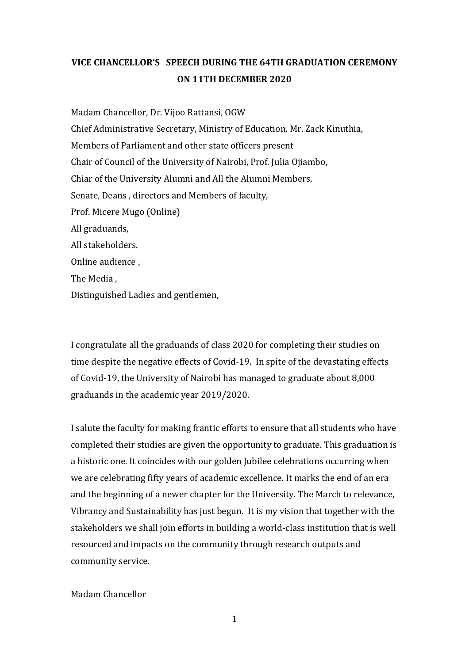## **VICE CHANCELLOR'S SPEECH DURING THE 64TH GRADUATION CEREMONY ON 11TH DECEMBER 2020**

Madam Chancellor, Dr. Vijoo Rattansi, OGW Chief Administrative Secretary, Ministry of Education, Mr. Zack Kinuthia, Members of Parliament and other state officers present Chair of Council of the University of Nairobi, Prof. Julia Ojiambo, Chiar of the University Alumni and All the Alumni Members, Senate, Deans , directors and Members of faculty, Prof. Micere Mugo (Online) All graduands, All stakeholders. Online audience , The Media , Distinguished Ladies and gentlemen,

I congratulate all the graduands of class 2020 for completing their studies on time despite the negative effects of Covid-19. In spite of the devastating effects of Covid-19, the University of Nairobi has managed to graduate about 8,000 graduands in the academic year 2019/2020.

I salute the faculty for making frantic efforts to ensure that all students who have completed their studies are given the opportunity to graduate. This graduation is a historic one. It coincides with our golden Jubilee celebrations occurring when we are celebrating fifty years of academic excellence. It marks the end of an era and the beginning of a newer chapter for the University. The March to relevance, Vibrancy and Sustainability has just begun. It is my vision that together with the stakeholders we shall join efforts in building a world-class institution that is well resourced and impacts on the community through research outputs and community service.

Madam Chancellor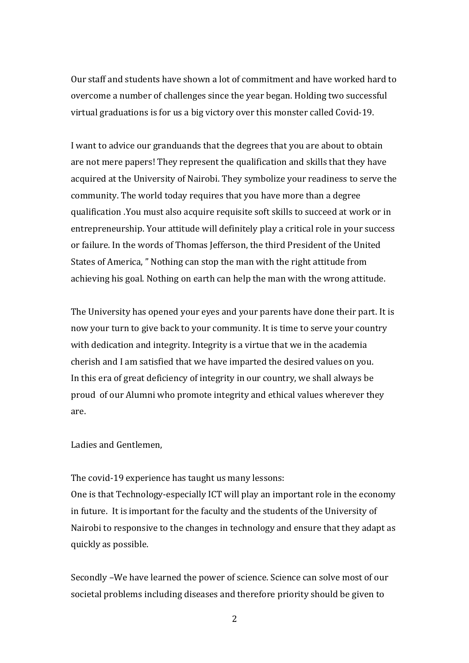Our staff and students have shown a lot of commitment and have worked hard to overcome a number of challenges since the year began. Holding two successful virtual graduations is for us a big victory over this monster called Covid-19.

I want to advice our granduands that the degrees that you are about to obtain are not mere papers! They represent the qualification and skills that they have acquired at the University of Nairobi. They symbolize your readiness to serve the community. The world today requires that you have more than a degree qualification .You must also acquire requisite soft skills to succeed at work or in entrepreneurship. Your attitude will definitely play a critical role in your success or failure. In the words of Thomas Jefferson, the third President of the United States of America, " Nothing can stop the man with the right attitude from achieving his goal. Nothing on earth can help the man with the wrong attitude.

The University has opened your eyes and your parents have done their part. It is now your turn to give back to your community. It is time to serve your country with dedication and integrity. Integrity is a virtue that we in the academia cherish and I am satisfied that we have imparted the desired values on you. In this era of great deficiency of integrity in our country, we shall always be proud of our Alumni who promote integrity and ethical values wherever they are.

Ladies and Gentlemen,

The covid-19 experience has taught us many lessons:

One is that Technology-especially ICT will play an important role in the economy in future. It is important for the faculty and the students of the University of Nairobi to responsive to the changes in technology and ensure that they adapt as quickly as possible.

Secondly –We have learned the power of science. Science can solve most of our societal problems including diseases and therefore priority should be given to

2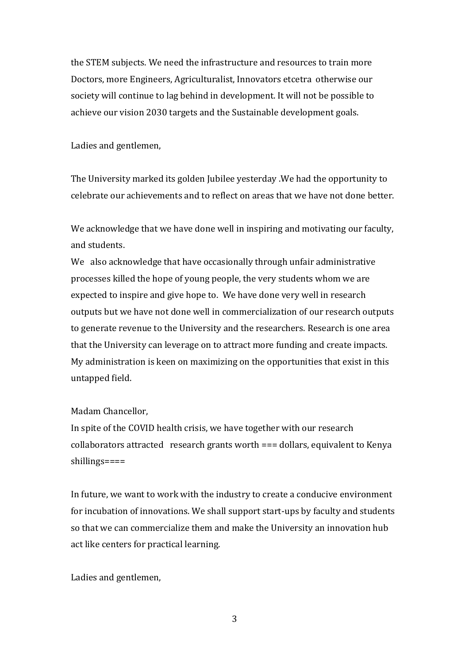the STEM subjects. We need the infrastructure and resources to train more Doctors, more Engineers, Agriculturalist, Innovators etcetra otherwise our society will continue to lag behind in development. It will not be possible to achieve our vision 2030 targets and the Sustainable development goals.

Ladies and gentlemen,

The University marked its golden Jubilee yesterday .We had the opportunity to celebrate our achievements and to reflect on areas that we have not done better.

We acknowledge that we have done well in inspiring and motivating our faculty, and students.

We also acknowledge that have occasionally through unfair administrative processes killed the hope of young people, the very students whom we are expected to inspire and give hope to. We have done very well in research outputs but we have not done well in commercialization of our research outputs to generate revenue to the University and the researchers. Research is one area that the University can leverage on to attract more funding and create impacts. My administration is keen on maximizing on the opportunities that exist in this untapped field.

## Madam Chancellor,

In spite of the COVID health crisis, we have together with our research collaborators attracted research grants worth === dollars, equivalent to Kenya shillings====

In future, we want to work with the industry to create a conducive environment for incubation of innovations. We shall support start-ups by faculty and students so that we can commercialize them and make the University an innovation hub act like centers for practical learning.

Ladies and gentlemen,

3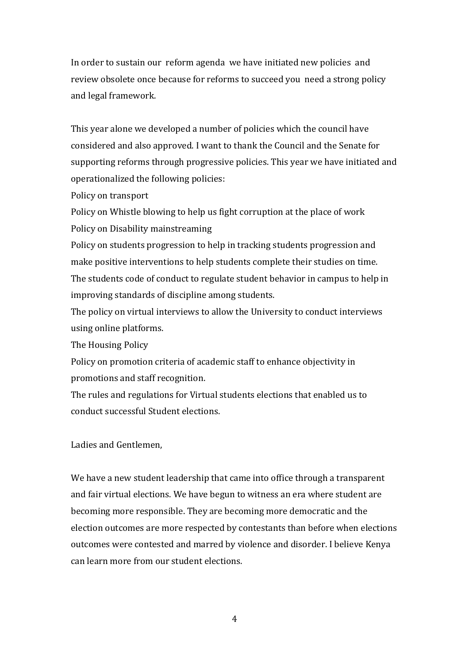In order to sustain our reform agenda we have initiated new policies and review obsolete once because for reforms to succeed you need a strong policy and legal framework.

This year alone we developed a number of policies which the council have considered and also approved. I want to thank the Council and the Senate for supporting reforms through progressive policies. This year we have initiated and operationalized the following policies:

Policy on transport

Policy on Whistle blowing to help us fight corruption at the place of work Policy on Disability mainstreaming

Policy on students progression to help in tracking students progression and make positive interventions to help students complete their studies on time. The students code of conduct to regulate student behavior in campus to help in improving standards of discipline among students.

The policy on virtual interviews to allow the University to conduct interviews using online platforms.

The Housing Policy

Policy on promotion criteria of academic staff to enhance objectivity in promotions and staff recognition.

The rules and regulations for Virtual students elections that enabled us to conduct successful Student elections.

Ladies and Gentlemen,

We have a new student leadership that came into office through a transparent and fair virtual elections. We have begun to witness an era where student are becoming more responsible. They are becoming more democratic and the election outcomes are more respected by contestants than before when elections outcomes were contested and marred by violence and disorder. I believe Kenya can learn more from our student elections.

4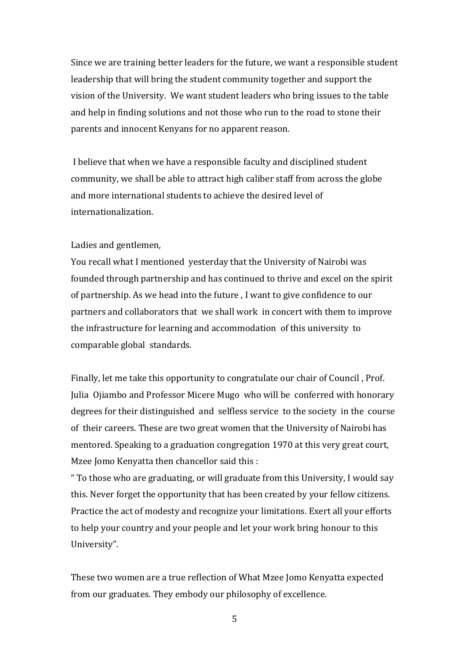Since we are training better leaders for the future, we want a responsible student leadership that will bring the student community together and support the vision of the University. We want student leaders who bring issues to the table and help in finding solutions and not those who run to the road to stone their parents and innocent Kenyans for no apparent reason.

I believe that when we have a responsible faculty and disciplined student community, we shall be able to attract high caliber staff from across the globe and more international students to achieve the desired level of internationalization.

## Ladies and gentlemen,

You recall what I mentioned yesterday that the University of Nairobi was founded through partnership and has continued to thrive and excel on the spirit of partnership. As we head into the future , I want to give confidence to our partners and collaborators that we shall work in concert with them to improve the infrastructure for learning and accommodation of this university to comparable global standards.

Finally, let me take this opportunity to congratulate our chair of Council , Prof. Julia Ojiambo and Professor Micere Mugo who will be conferred with honorary degrees for their distinguished and selfless service to the society in the course of their careers. These are two great women that the University of Nairobi has mentored. Speaking to a graduation congregation 1970 at this very great court, Mzee Jomo Kenyatta then chancellor said this :

" To those who are graduating, or will graduate from this University, I would say this. Never forget the opportunity that has been created by your fellow citizens. Practice the act of modesty and recognize your limitations. Exert all your efforts to help your country and your people and let your work bring honour to this University".

These two women are a true reflection of What Mzee Jomo Kenyatta expected from our graduates. They embody our philosophy of excellence.